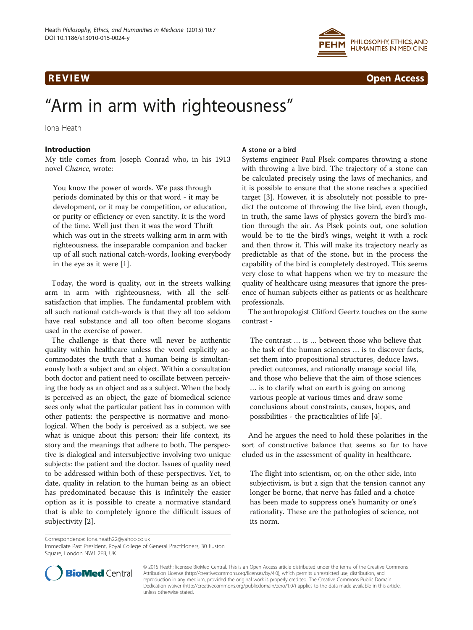

R EVI EW Open Access

# "Arm in arm with righteousness"

Iona Heath

# Introduction

My title comes from Joseph Conrad who, in his 1913 novel Chance, wrote:

You know the power of words. We pass through periods dominated by this or that word - it may be development, or it may be competition, or education, or purity or efficiency or even sanctity. It is the word of the time. Well just then it was the word Thrift which was out in the streets walking arm in arm with righteousness, the inseparable companion and backer up of all such national catch-words, looking everybody in the eye as it were [[1\]](#page-3-0).

Today, the word is quality, out in the streets walking arm in arm with righteousness, with all the selfsatisfaction that implies. The fundamental problem with all such national catch-words is that they all too seldom have real substance and all too often become slogans used in the exercise of power.

The challenge is that there will never be authentic quality within healthcare unless the word explicitly accommodates the truth that a human being is simultaneously both a subject and an object. Within a consultation both doctor and patient need to oscillate between perceiving the body as an object and as a subject. When the body is perceived as an object, the gaze of biomedical science sees only what the particular patient has in common with other patients: the perspective is normative and monological. When the body is perceived as a subject, we see what is unique about this person: their life context, its story and the meanings that adhere to both. The perspective is dialogical and intersubjective involving two unique subjects: the patient and the doctor. Issues of quality need to be addressed within both of these perspectives. Yet, to date, quality in relation to the human being as an object has predominated because this is infinitely the easier option as it is possible to create a normative standard that is able to completely ignore the difficult issues of subjectivity [[2\]](#page-3-0).

### A stone or a bird

Systems engineer Paul Plsek compares throwing a stone with throwing a live bird. The trajectory of a stone can be calculated precisely using the laws of mechanics, and it is possible to ensure that the stone reaches a specified target [\[3](#page-3-0)]. However, it is absolutely not possible to predict the outcome of throwing the live bird, even though, in truth, the same laws of physics govern the bird's motion through the air. As Plsek points out, one solution would be to tie the bird's wings, weight it with a rock and then throw it. This will make its trajectory nearly as predictable as that of the stone, but in the process the capability of the bird is completely destroyed. This seems very close to what happens when we try to measure the quality of healthcare using measures that ignore the presence of human subjects either as patients or as healthcare professionals.

The anthropologist Clifford Geertz touches on the same contrast -

The contrast … is … between those who believe that the task of the human sciences … is to discover facts, set them into propositional structures, deduce laws, predict outcomes, and rationally manage social life, and those who believe that the aim of those sciences … is to clarify what on earth is going on among various people at various times and draw some conclusions about constraints, causes, hopes, and possibilities - the practicalities of life [[4\]](#page-3-0).

And he argues the need to hold these polarities in the sort of constructive balance that seems so far to have eluded us in the assessment of quality in healthcare.

The flight into scientism, or, on the other side, into subjectivism, is but a sign that the tension cannot any longer be borne, that nerve has failed and a choice has been made to suppress one's humanity or one's rationality. These are the pathologies of science, not its norm.

Correspondence: [iona.heath22@yahoo.co.uk](mailto:iona.heath22@yahoo.co.uk)

Immediate Past President, Royal College of General Practitioners, 30 Euston Square, London NW1 2FB, UK



© 2015 Heath; licensee BioMed Central. This is an Open Access article distributed under the terms of the Creative Commons Attribution License (<http://creativecommons.org/licenses/by/4.0>), which permits unrestricted use, distribution, and reproduction in any medium, provided the original work is properly credited. The Creative Commons Public Domain Dedication waiver [\(http://creativecommons.org/publicdomain/zero/1.0/](http://creativecommons.org/publicdomain/zero/1.0/)) applies to the data made available in this article, unless otherwise stated.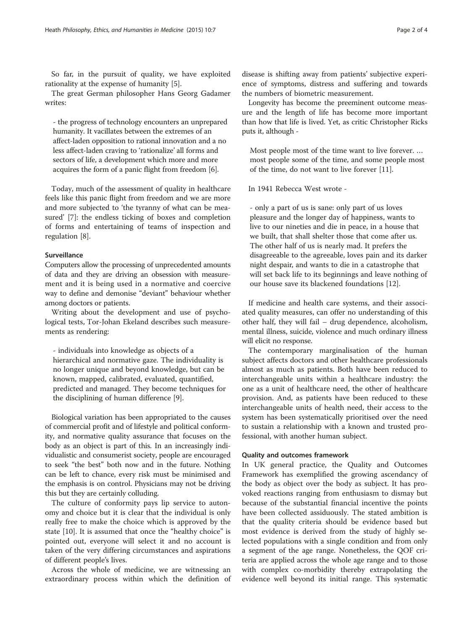So far, in the pursuit of quality, we have exploited rationality at the expense of humanity [[5\]](#page-3-0).

The great German philosopher Hans Georg Gadamer writes:

- the progress of technology encounters an unprepared humanity. It vacillates between the extremes of an affect-laden opposition to rational innovation and a no less affect-laden craving to 'rationalize' all forms and sectors of life, a development which more and more acquires the form of a panic flight from freedom [[6](#page-3-0)].

Today, much of the assessment of quality in healthcare feels like this panic flight from freedom and we are more and more subjected to 'the tyranny of what can be measured' [\[7](#page-3-0)]: the endless ticking of boxes and completion of forms and entertaining of teams of inspection and regulation [\[8\]](#page-3-0).

## **Surveillance**

Computers allow the processing of unprecedented amounts of data and they are driving an obsession with measurement and it is being used in a normative and coercive way to define and demonise "deviant" behaviour whether among doctors or patients.

Writing about the development and use of psychological tests, Tor-Johan Ekeland describes such measurements as rendering:

- individuals into knowledge as objects of a hierarchical and normative gaze. The individuality is no longer unique and beyond knowledge, but can be known, mapped, calibrated, evaluated, quantified, predicted and managed. They become techniques for the disciplining of human difference [\[9](#page-3-0)].

Biological variation has been appropriated to the causes of commercial profit and of lifestyle and political conformity, and normative quality assurance that focuses on the body as an object is part of this. In an increasingly individualistic and consumerist society, people are encouraged to seek "the best" both now and in the future. Nothing can be left to chance, every risk must be minimised and the emphasis is on control. Physicians may not be driving this but they are certainly colluding.

The culture of conformity pays lip service to autonomy and choice but it is clear that the individual is only really free to make the choice which is approved by the state [[10\]](#page-3-0). It is assumed that once the "healthy choice" is pointed out, everyone will select it and no account is taken of the very differing circumstances and aspirations of different people's lives.

Across the whole of medicine, we are witnessing an extraordinary process within which the definition of disease is shifting away from patients' subjective experience of symptoms, distress and suffering and towards the numbers of biometric measurement.

Longevity has become the preeminent outcome measure and the length of life has become more important than how that life is lived. Yet, as critic Christopher Ricks puts it, although -

Most people most of the time want to live forever. … most people some of the time, and some people most of the time, do not want to live forever [[11](#page-3-0)].

In 1941 Rebecca West wrote -

- only a part of us is sane: only part of us loves pleasure and the longer day of happiness, wants to live to our nineties and die in peace, in a house that we built, that shall shelter those that come after us. The other half of us is nearly mad. It prefers the disagreeable to the agreeable, loves pain and its darker night despair, and wants to die in a catastrophe that will set back life to its beginnings and leave nothing of our house save its blackened foundations [\[12](#page-3-0)].

If medicine and health care systems, and their associated quality measures, can offer no understanding of this other half, they will fail – drug dependence, alcoholism, mental illness, suicide, violence and much ordinary illness will elicit no response.

The contemporary marginalisation of the human subject affects doctors and other healthcare professionals almost as much as patients. Both have been reduced to interchangeable units within a healthcare industry: the one as a unit of healthcare need, the other of healthcare provision. And, as patients have been reduced to these interchangeable units of health need, their access to the system has been systematically prioritised over the need to sustain a relationship with a known and trusted professional, with another human subject.

#### Quality and outcomes framework

In UK general practice, the Quality and Outcomes Framework has exemplified the growing ascendancy of the body as object over the body as subject. It has provoked reactions ranging from enthusiasm to dismay but because of the substantial financial incentive the points have been collected assiduously. The stated ambition is that the quality criteria should be evidence based but most evidence is derived from the study of highly selected populations with a single condition and from only a segment of the age range. Nonetheless, the QOF criteria are applied across the whole age range and to those with complex co-morbidity thereby extrapolating the evidence well beyond its initial range. This systematic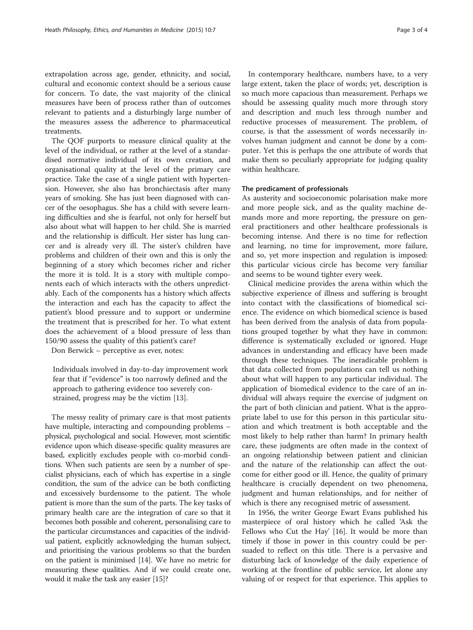extrapolation across age, gender, ethnicity, and social, cultural and economic context should be a serious cause for concern. To date, the vast majority of the clinical measures have been of process rather than of outcomes relevant to patients and a disturbingly large number of the measures assess the adherence to pharmaceutical treatments.

The QOF purports to measure clinical quality at the level of the individual, or rather at the level of a standardised normative individual of its own creation, and organisational quality at the level of the primary care practice. Take the case of a single patient with hypertension. However, she also has bronchiectasis after many years of smoking. She has just been diagnosed with cancer of the oesophagus. She has a child with severe learning difficulties and she is fearful, not only for herself but also about what will happen to her child. She is married and the relationship is difficult. Her sister has lung cancer and is already very ill. The sister's children have problems and children of their own and this is only the beginning of a story which becomes richer and richer the more it is told. It is a story with multiple components each of which interacts with the others unpredictably. Each of the components has a history which affects the interaction and each has the capacity to affect the patient's blood pressure and to support or undermine the treatment that is prescribed for her. To what extent does the achievement of a blood pressure of less than 150/90 assess the quality of this patient's care?

Don Berwick – perceptive as ever, notes:

Individuals involved in day-to-day improvement work fear that if "evidence" is too narrowly defined and the approach to gathering evidence too severely constrained, progress may be the victim [\[13](#page-3-0)].

The messy reality of primary care is that most patients have multiple, interacting and compounding problems – physical, psychological and social. However, most scientific evidence upon which disease-specific quality measures are based, explicitly excludes people with co-morbid conditions. When such patients are seen by a number of specialist physicians, each of which has expertise in a single condition, the sum of the advice can be both conflicting and excessively burdensome to the patient. The whole patient is more than the sum of the parts. The key tasks of primary health care are the integration of care so that it becomes both possible and coherent, personalising care to the particular circumstances and capacities of the individual patient, explicitly acknowledging the human subject, and prioritising the various problems so that the burden on the patient is minimised [\[14\]](#page-3-0). We have no metric for measuring these qualities. And if we could create one, would it make the task any easier [\[15\]](#page-3-0)?

In contemporary healthcare, numbers have, to a very large extent, taken the place of words; yet, description is so much more capacious than measurement. Perhaps we should be assessing quality much more through story and description and much less through number and reductive processes of measurement. The problem, of course, is that the assessment of words necessarily involves human judgment and cannot be done by a computer. Yet this is perhaps the one attribute of words that make them so peculiarly appropriate for judging quality within healthcare.

#### The predicament of professionals

As austerity and socioeconomic polarisation make more and more people sick, and as the quality machine demands more and more reporting, the pressure on general practitioners and other healthcare professionals is becoming intense. And there is no time for reflection and learning, no time for improvement, more failure, and so, yet more inspection and regulation is imposed: this particular vicious circle has become very familiar and seems to be wound tighter every week.

Clinical medicine provides the arena within which the subjective experience of illness and suffering is brought into contact with the classifications of biomedical science. The evidence on which biomedical science is based has been derived from the analysis of data from populations grouped together by what they have in common: difference is systematically excluded or ignored. Huge advances in understanding and efficacy have been made through these techniques. The ineradicable problem is that data collected from populations can tell us nothing about what will happen to any particular individual. The application of biomedical evidence to the care of an individual will always require the exercise of judgment on the part of both clinician and patient. What is the appropriate label to use for this person in this particular situation and which treatment is both acceptable and the most likely to help rather than harm? In primary health care, these judgments are often made in the context of an ongoing relationship between patient and clinician and the nature of the relationship can affect the outcome for either good or ill. Hence, the quality of primary healthcare is crucially dependent on two phenomena, judgment and human relationships, and for neither of which is there any recognised metric of assessment.

In 1956, the writer George Ewart Evans published his masterpiece of oral history which he called 'Ask the Fellows who Cut the Hay' [\[16](#page-3-0)]. It would be more than timely if those in power in this country could be persuaded to reflect on this title. There is a pervasive and disturbing lack of knowledge of the daily experience of working at the frontline of public service, let alone any valuing of or respect for that experience. This applies to